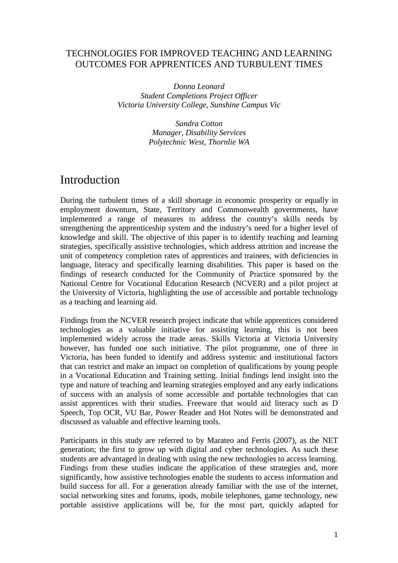### TECHNOLOGIES FOR IMPROVED TEACHING AND LEARNING OUTCOMES FOR APPRENTICES AND TURBULENT TIMES

*Donna Leonard Student Completions Project Officer Victoria University College, Sunshine Campus Vic* 

> *Sandra Cotton Manager, Disability Services Polytechnic West, Thornlie WA*

## Introduction

During the turbulent times of a skill shortage in economic prosperity or equally in employment downturn, State, Territory and Commonwealth governments, have implemented a range of measures to address the country's skills needs by strengthening the apprenticeship system and the industry's need for a higher level of knowledge and skill. The objective of this paper is to identify teaching and learning strategies, specifically assistive technologies, which address attrition and increase the unit of competency completion rates of apprentices and trainees, with deficiencies in language, literacy and specifically learning disabilities. This paper is based on the findings of research conducted for the Community of Practice sponsored by the National Centre for Vocational Education Research (NCVER) and a pilot project at the University of Victoria, highlighting the use of accessible and portable technology as a teaching and learning aid.

Findings from the NCVER research project indicate that while apprentices considered technologies as a valuable initiative for assisting learning, this is not been implemented widely across the trade areas. Skills Victoria at Victoria University however, has funded one such initiative. The pilot programme, one of three in Victoria, has been funded to identify and address systemic and institutional factors that can restrict and make an impact on completion of qualifications by young people in a Vocational Education and Training setting. Initial findings lend insight into the type and nature of teaching and learning strategies employed and any early indications of success with an analysis of some accessible and portable technologies that can assist apprentices with their studies. Freeware that would aid literacy such as D Speech, Top OCR, VU Bar, Power Reader and Hot Notes will be demonstrated and discussed as valuable and effective learning tools.

Participants in this study are referred to by Marateo and Ferris (2007), as the NET generation; the first to grow up with digital and cyber technologies. As such these students are advantaged in dealing with using the new technologies to access learning. Findings from these studies indicate the application of these strategies and, more significantly, how assistive technologies enable the students to access information and build success for all. For a generation already familiar with the use of the internet, social networking sites and forums, ipods, mobile telephones, game technology, new portable assistive applications will be, for the most part, quickly adapted for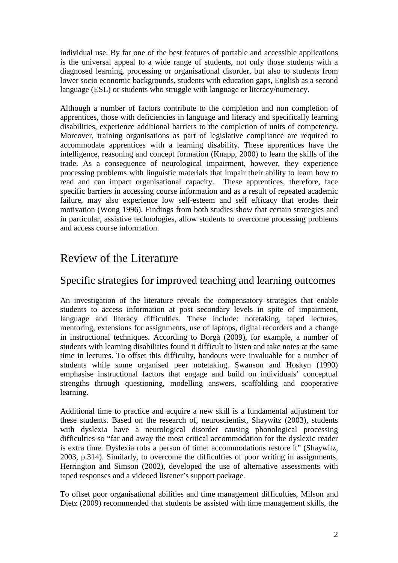individual use. By far one of the best features of portable and accessible applications is the universal appeal to a wide range of students, not only those students with a diagnosed learning, processing or organisational disorder, but also to students from lower socio economic backgrounds, students with education gaps, English as a second language (ESL) or students who struggle with language or literacy/numeracy.

Although a number of factors contribute to the completion and non completion of apprentices, those with deficiencies in language and literacy and specifically learning disabilities, experience additional barriers to the completion of units of competency. Moreover, training organisations as part of legislative compliance are required to accommodate apprentices with a learning disability. These apprentices have the intelligence, reasoning and concept formation (Knapp, 2000) to learn the skills of the trade. As a consequence of neurological impairment, however, they experience processing problems with linguistic materials that impair their ability to learn how to read and can impact organisational capacity. These apprentices, therefore, face specific barriers in accessing course information and as a result of repeated academic failure, may also experience low self-esteem and self efficacy that erodes their motivation (Wong 1996). Findings from both studies show that certain strategies and in particular, assistive technologies, allow students to overcome processing problems and access course information.

# Review of the Literature

## Specific strategies for improved teaching and learning outcomes

An investigation of the literature reveals the compensatory strategies that enable students to access information at post secondary levels in spite of impairment, language and literacy difficulties. These include: notetaking, taped lectures, mentoring, extensions for assignments, use of laptops, digital recorders and a change in instructional techniques. According to Borgå (2009), for example, a number of students with learning disabilities found it difficult to listen and take notes at the same time in lectures. To offset this difficulty, handouts were invaluable for a number of students while some organised peer notetaking. Swanson and Hoskyn (1990) emphasise instructional factors that engage and build on individuals' conceptual strengths through questioning, modelling answers, scaffolding and cooperative learning.

Additional time to practice and acquire a new skill is a fundamental adjustment for these students. Based on the research of, neuroscientist, Shaywitz (2003), students with dyslexia have a neurological disorder causing phonological processing difficulties so "far and away the most critical accommodation for the dyslexic reader is extra time. Dyslexia robs a person of time: accommodations restore it" (Shaywitz, 2003, p.314). Similarly, to overcome the difficulties of poor writing in assignments, Herrington and Simson (2002), developed the use of alternative assessments with taped responses and a videoed listener's support package.

To offset poor organisational abilities and time management difficulties, Milson and Dietz (2009) recommended that students be assisted with time management skills, the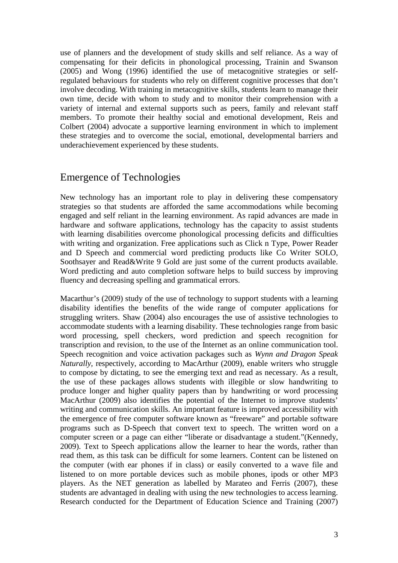use of planners and the development of study skills and self reliance. As a way of compensating for their deficits in phonological processing, Trainin and Swanson (2005) and Wong (1996) identified the use of metacognitive strategies or selfregulated behaviours for students who rely on different cognitive processes that don't involve decoding. With training in metacognitive skills, students learn to manage their own time, decide with whom to study and to monitor their comprehension with a variety of internal and external supports such as peers, family and relevant staff members. To promote their healthy social and emotional development, Reis and Colbert (2004) advocate a supportive learning environment in which to implement these strategies and to overcome the social, emotional, developmental barriers and underachievement experienced by these students.

### Emergence of Technologies

New technology has an important role to play in delivering these compensatory strategies so that students are afforded the same accommodations while becoming engaged and self reliant in the learning environment. As rapid advances are made in hardware and software applications, technology has the capacity to assist students with learning disabilities overcome phonological processing deficits and difficulties with writing and organization. Free applications such as Click n Type, Power Reader and D Speech and commercial word predicting products like Co Writer SOLO, Soothsayer and Read&Write 9 Gold are just some of the current products available. Word predicting and auto completion software helps to build success by improving fluency and decreasing spelling and grammatical errors.

Macarthur's (2009) study of the use of technology to support students with a learning disability identifies the benefits of the wide range of computer applications for struggling writers. Shaw (2004) also encourages the use of assistive technologies to accommodate students with a learning disability. These technologies range from basic word processing, spell checkers, word prediction and speech recognition for transcription and revision, to the use of the Internet as an online communication tool. Speech recognition and voice activation packages such as *Wynn and Dragon Speak Naturally,* respectively, according to MacArthur (2009), enable writers who struggle to compose by dictating, to see the emerging text and read as necessary. As a result, the use of these packages allows students with illegible or slow handwriting to produce longer and higher quality papers than by handwriting or word processing MacArthur (2009) also identifies the potential of the Internet to improve students' writing and communication skills. An important feature is improved accessibility with the emergence of free computer software known as "freeware" and portable software programs such as D-Speech that convert text to speech. The written word on a computer screen or a page can either "liberate or disadvantage a student."(Kennedy, 2009). Text to Speech applications allow the learner to hear the words, rather than read them, as this task can be difficult for some learners. Content can be listened on the computer (with ear phones if in class) or easily converted to a wave file and listened to on more portable devices such as mobile phones, ipods or other MP3 players. As the NET generation as labelled by Marateo and Ferris (2007), these students are advantaged in dealing with using the new technologies to access learning. Research conducted for the Department of Education Science and Training (2007)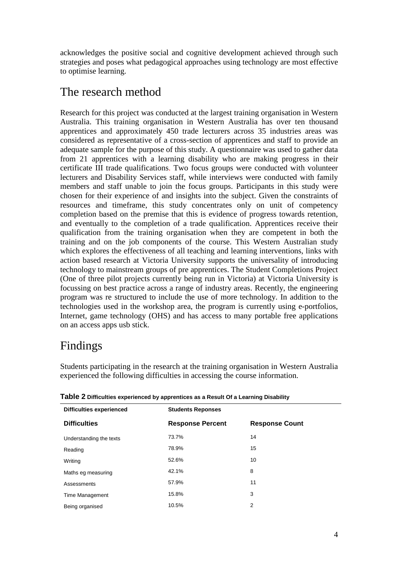acknowledges the positive social and cognitive development achieved through such strategies and poses what pedagogical approaches using technology are most effective to optimise learning.

## The research method

Research for this project was conducted at the largest training organisation in Western Australia. This training organisation in Western Australia has over ten thousand apprentices and approximately 450 trade lecturers across 35 industries areas was considered as representative of a cross-section of apprentices and staff to provide an adequate sample for the purpose of this study. A questionnaire was used to gather data from 21 apprentices with a learning disability who are making progress in their certificate III trade qualifications. Two focus groups were conducted with volunteer lecturers and Disability Services staff, while interviews were conducted with family members and staff unable to join the focus groups. Participants in this study were chosen for their experience of and insights into the subject. Given the constraints of resources and timeframe, this study concentrates only on unit of competency completion based on the premise that this is evidence of progress towards retention, and eventually to the completion of a trade qualification. Apprentices receive their qualification from the training organisation when they are competent in both the training and on the job components of the course. This Western Australian study which explores the effectiveness of all teaching and learning interventions, links with action based research at Victoria University supports the universality of introducing technology to mainstream groups of pre apprentices. The Student Completions Project (One of three pilot projects currently being run in Victoria) at Victoria University is focussing on best practice across a range of industry areas. Recently, the engineering program was re structured to include the use of more technology. In addition to the technologies used in the workshop area, the program is currently using e-portfolios, Internet, game technology (OHS) and has access to many portable free applications on an access apps usb stick.

# Findings

Students participating in the research at the training organisation in Western Australia experienced the following difficulties in accessing the course information.

| <b>Difficulties experienced</b> | <b>Students Reponses</b> |                       |
|---------------------------------|--------------------------|-----------------------|
| <b>Difficulties</b>             | <b>Response Percent</b>  | <b>Response Count</b> |
| Understanding the texts         | 73.7%                    | 14                    |
| Reading                         | 78.9%                    | 15                    |
| Writing                         | 52.6%                    | 10                    |
| Maths eg measuring              | 42.1%                    | 8                     |
| Assessments                     | 57.9%                    | 11                    |
| Time Management                 | 15.8%                    | 3                     |
| Being organised                 | 10.5%                    | 2                     |

**Table 2 Difficulties experienced by apprentices as a Result Of a Learning Disability**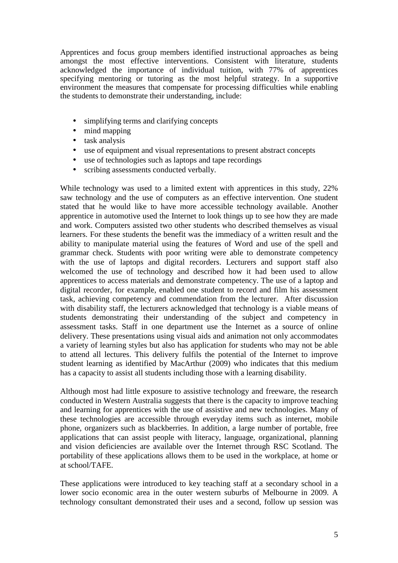Apprentices and focus group members identified instructional approaches as being amongst the most effective interventions. Consistent with literature, students acknowledged the importance of individual tuition, with 77% of apprentices specifying mentoring or tutoring as the most helpful strategy. In a supportive environment the measures that compensate for processing difficulties while enabling the students to demonstrate their understanding, include:

- simplifying terms and clarifying concepts
- mind mapping
- task analysis
- use of equipment and visual representations to present abstract concepts
- use of technologies such as laptops and tape recordings
- scribing assessments conducted verbally.

While technology was used to a limited extent with apprentices in this study, 22% saw technology and the use of computers as an effective intervention. One student stated that he would like to have more accessible technology available. Another apprentice in automotive used the Internet to look things up to see how they are made and work. Computers assisted two other students who described themselves as visual learners. For these students the benefit was the immediacy of a written result and the ability to manipulate material using the features of Word and use of the spell and grammar check. Students with poor writing were able to demonstrate competency with the use of laptops and digital recorders. Lecturers and support staff also welcomed the use of technology and described how it had been used to allow apprentices to access materials and demonstrate competency. The use of a laptop and digital recorder, for example, enabled one student to record and film his assessment task, achieving competency and commendation from the lecturer. After discussion with disability staff, the lecturers acknowledged that technology is a viable means of students demonstrating their understanding of the subject and competency in assessment tasks. Staff in one department use the Internet as a source of online delivery. These presentations using visual aids and animation not only accommodates a variety of learning styles but also has application for students who may not be able to attend all lectures. This delivery fulfils the potential of the Internet to improve student learning as identified by MacArthur (2009) who indicates that this medium has a capacity to assist all students including those with a learning disability.

Although most had little exposure to assistive technology and freeware, the research conducted in Western Australia suggests that there is the capacity to improve teaching and learning for apprentices with the use of assistive and new technologies. Many of these technologies are accessible through everyday items such as internet, mobile phone, organizers such as blackberries. In addition, a large number of portable, free applications that can assist people with literacy, language, organizational, planning and vision deficiencies are available over the Internet through RSC Scotland. The portability of these applications allows them to be used in the workplace, at home or at school/TAFE.

These applications were introduced to key teaching staff at a secondary school in a lower socio economic area in the outer western suburbs of Melbourne in 2009. A technology consultant demonstrated their uses and a second, follow up session was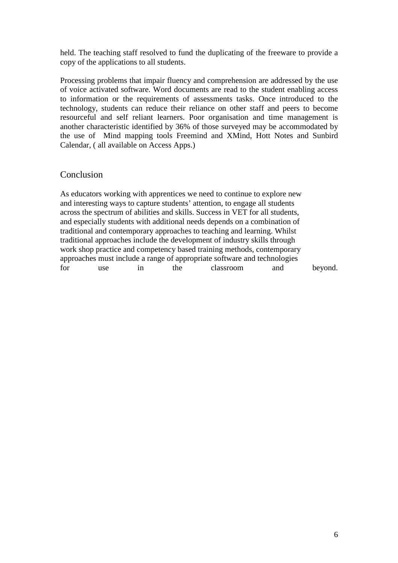held. The teaching staff resolved to fund the duplicating of the freeware to provide a copy of the applications to all students.

Processing problems that impair fluency and comprehension are addressed by the use of voice activated software. Word documents are read to the student enabling access to information or the requirements of assessments tasks. Once introduced to the technology, students can reduce their reliance on other staff and peers to become resourceful and self reliant learners. Poor organisation and time management is another characteristic identified by 36% of those surveyed may be accommodated by the use of Mind mapping tools Freemind and XMind, Hott Notes and Sunbird Calendar, ( all available on Access Apps.)

#### Conclusion

As educators working with apprentices we need to continue to explore new and interesting ways to capture students' attention, to engage all students across the spectrum of abilities and skills. Success in VET for all students, and especially students with additional needs depends on a combination of traditional and contemporary approaches to teaching and learning. Whilst traditional approaches include the development of industry skills through work shop practice and competency based training methods, contemporary approaches must include a range of appropriate software and technologies for use in the classroom and beyond.